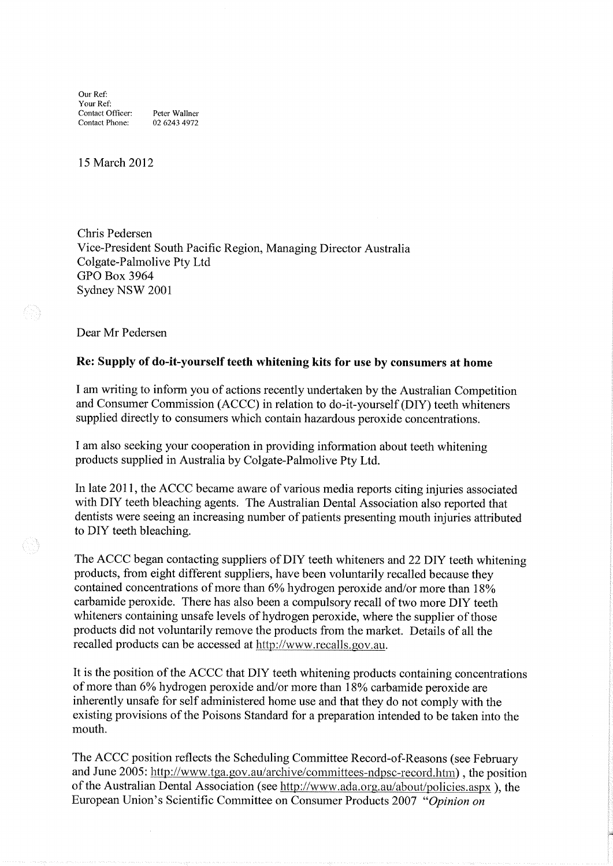Our Ref: Your Ref: Contact Officer: Peter Wallner Contact Phone: 02 6243 4972

15 March 2012

Chris Pedersen Vice-President South Pacific Region, Managing Director Australia Colgate-Palmolive Pty Ltd GPO Box 3964 Sydney NSW <sup>2001</sup>

Dear Mr Pedersen

## Re: Supply of do-it-yourself teeth whitening kits for use by consumers at home

I am writing to inform you of actions recently undertaken by the Australian Competition and Consumer Commission (ACCC) in relation to do-it-yourself (DIY) teeth whiteners supplied directly to consurners which contain hazardous peroxide concentrations.

<sup>I</sup>am also seeking your cooperation in providing information about teeth whitening products supplied in Australia by Colgate-Palmolive Pty Ltd.

In late 2011, the ACCC became aware of various media reports citing injuries associated with DIY teeth bleaching agents. The Australian Dental Association also reported that dentists were seeing an increasing number of patients presenting mouth injuries attributed to DIY teeth bleaching.

The ACCC began contacting suppliers of DIY teeth whiteners and 22DIY teeth whitening products, from eight different suppliers, have been voluntarily recalled because they contained concentrations of more than 6% hydrogen peroxide and/or more than 18% carbamide peroxide. There has also been a compulsory recall of two more DIY teeth whiteners containing unsafe levels of hydrogen peroxide, where the supplier of those products did not voluntarily remove the products from the market. Details of all the recalled products can be accessed at http://www.recalls.gov,au.

It is the position of the ACCC that DIY teeth whitening products containing concentrations of more than 6% hydrogen peroxide and/or more than 18% carbamide peroxide are inherently unsafe for self administered horne use and that they do not comply with the existing provisions of the Poisons Standard for a preparation intended to be taken into the mouth.

The ACCC position reflects the Scheduling Committee Record-of-Reasons (see February and June 2005: http://www.tga.gov.au/archive/committees-ndpsc-record.htm), the position of the Australian Dental Association (see http://www.ada.org.au/about/policies.aspx), the European Union's Scientific Committee on Consumer Products 2007 "Opinion on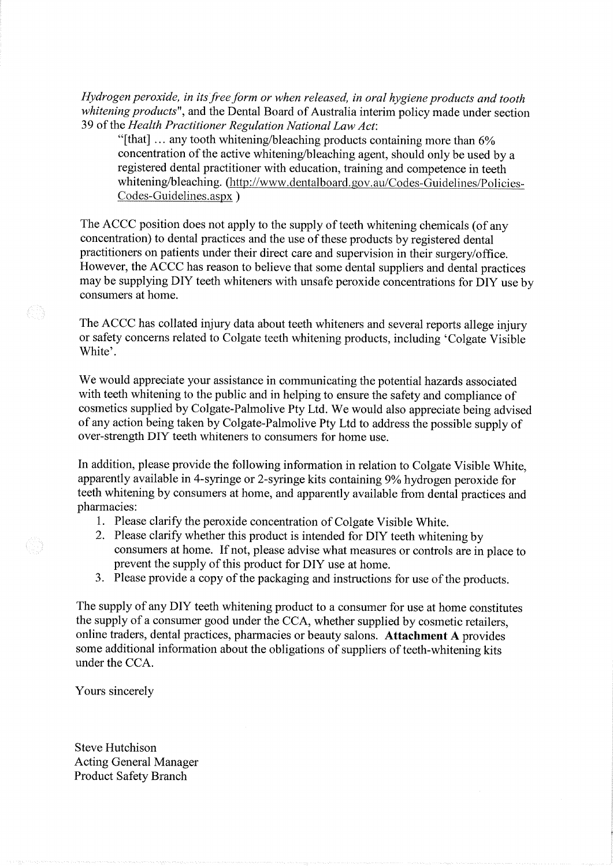Hydrogen peroxide, in its free form or when released, in oral hygiene products and tooth whitening products", and the Dental Board of Australia interim policy made under section 39 of the Health Practitioner Regulation National Law Act:

"[that]  $\ldots$  any tooth whitening/bleaching products containing more than 6% concentration of the active whitening/bleaching agent, should only be used by a registered dental practitioner with education, training and cornpetence in teeth whitening/bleaching. (http://www.dentalboard.gov.au/Codes-Guidelines/Policies-Codes-Guidelines.aspx)

The ACCC position does not apply to the supply of teeth whitening chemicals (of any concentration) to dental practices and the use of these products by registered dental practitioners on patients under their direct carc and supervision in their surgery/office. However, the ACCC has reason to believe that sorne dental suppliers and dental practices may be supplying DIY teeth whiteners with unsafe peroxide concentrations for DIY use by consumers at home.

The ACCC has collated injury data about teeth whiteners and several reports allege injury or safety concerns related to Colgate teeth whitening products, including 'Colgate Visible White'.

We would appreciate your assistance in communicating the potential hazards associated with teeth whitening to the public and in helping to ensure the safety and compliance of cosmetics supplied by Colgate-Pahnolive Pty Ltd. We would also appreciate being advised of any action being taken by Colgate-Palmolive Pty Ltd to address the possible supply of over-strength DIY teeth whiteners to consumers for home use.

In addition, please provide the following information in relation to Colgate Visible White, apparently available in 4-syringe or 2-syringe kits containing 9% hydrogen peroxide for teeth whitening by consumers at home, and apparently available from dental practices and pharmacies:

- 1. Please clarify the peroxide concentration of Colgate Visible White. 2. Please clarify whether this product is intended for DIY teeth whitening by
- consumers at home. If not, please advise what measures or controls are in place to prevent the supply of this product for DIY use at home.
- 3. Please provide a copy of the packaging and instructions for use of the products.

The supply of any DIY teeth whitening product to a consumer for use at home constitutes the supply of a consuner good under the CCA, whether supplied by cosmetic retailers, online traders, dental practices, pharmacies or beauty salons. Attachment A provides sorne additional information about the obligations of suppliers of teeth-whitening kits under the CCA.

Yours sincerely

Steve Hutchison Acting General Manager Product Safety Branch